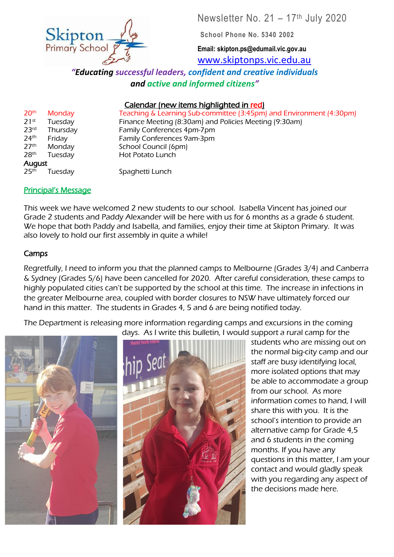Newsletter No. 21 – 17th July 2020

**School Phone No. 5340 2002**

**Email: skipton.ps@edumail.vic.gov.au** [www.skiptonps.vic.edu.au](http://www.skiptonps.vic.edu.au/)

*"Educating successful leaders, confident and creative individuals and active and informed citizens"*

## Calendar (new items highlighted in red)

20th Monday Teaching & Learning Sub-committee (3:45pm) and Environment (4:30pm) 21st Tuesday Finance Meeting (8:30am) and Policies Meeting (9:30am) 23<sup>rd</sup> Thursday **Family Conferences 4pm-7pm** 24<sup>th</sup> Friday **Family Conferences 9am-3pm** 27<sup>th</sup> Monday School Council (6pm) 28<sup>th</sup> Tuesday **Hot Potato Lunch** 

#### Principal's Message

This week we have welcomed 2 new students to our school. Isabella Vincent has joined our Grade 2 students and Paddy Alexander will be here with us for 6 months as a grade 6 student. We hope that both Paddy and Isabella, and families, enjoy their time at Skipton Primary. It was also lovely to hold our first assembly in quite a while!

#### Camps

Regretfully, I need to inform you that the planned camps to Melbourne (Grades 3/4) and Canberra & Sydney (Grades 5/6) have been cancelled for 2020. After careful consideration, these camps to highly populated cities can't be supported by the school at this time. The increase in infections in the greater Melbourne area, coupled with border closures to NSW have ultimately forced our hand in this matter. The students in Grades 4, 5 and 6 are being notified today.

The Department is releasing more information regarding camps and excursions in the coming days. As I write this bulletin, I would support a rural camp for the

students who are missing out on the normal big-city camp and our staff are busy identifying local, more isolated options that may be able to accommodate a group from our school. As more information comes to hand, I will share this with you. It is the school's intention to provide an alternative camp for Grade 4,5 and 6 students in the coming months. If you have any questions in this matter, I am your contact and would gladly speak with you regarding any aspect of the decisions made here.



Skipton

August 25<sup>th</sup> Tuesday Spaghetti Lunch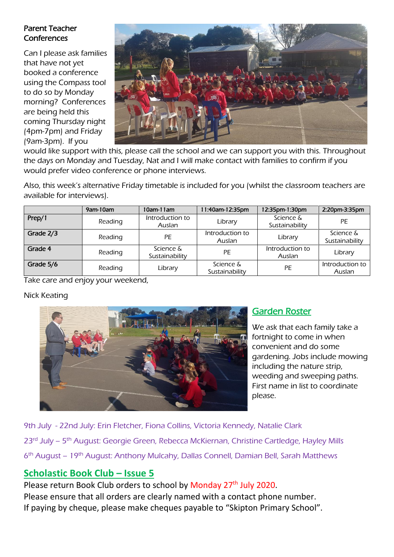#### Parent Teacher **Conferences**

Can I please ask families that have not yet booked a conference using the Compass tool to do so by Monday morning? Conferences are being held this coming Thursday night (4pm-7pm) and Friday (9am-3pm). If you



would like support with this, please call the school and we can support you with this. Throughout the days on Monday and Tuesday, Nat and I will make contact with families to confirm if you would prefer video conference or phone interviews.

Also, this week's alternative Friday timetable is included for you (whilst the classroom teachers are available for interviews).

|           | 9am-10am | $10am-11am$                 | 1:40am-12:35pm              | 12:35pm-1:30pm              | 2:20pm-3:35pm               |
|-----------|----------|-----------------------------|-----------------------------|-----------------------------|-----------------------------|
| Prep/1    | Reading  | Introduction to<br>Auslan   | Library                     | Science &<br>Sustainability | PE                          |
| Grade 2/3 | Reading  | PE                          | Introduction to<br>Auslan   | Library                     | Science &<br>Sustainability |
| Grade 4   | Reading  | Science &<br>Sustainability | PE                          | Introduction to<br>Auslan   | Library                     |
| Grade 5/6 | Reading  | Library                     | Science &<br>Sustainability | PE                          | Introduction to<br>Auslan   |

Take care and enjoy your weekend,

#### Nick Keating



## Garden Roster

We ask that each family take a fortnight to come in when convenient and do some gardening. Jobs include mowing including the nature strip, weeding and sweeping paths. First name in list to coordinate please.

9th July - 22nd July: Erin Fletcher, Fiona Collins, Victoria Kennedy, Natalie Clark 23<sup>rd</sup> July – 5<sup>th</sup> August: Georgie Green, Rebecca McKiernan, Christine Cartledge, Hayley Mills 6<sup>th</sup> August – 19<sup>th</sup> August: Anthony Mulcahy, Dallas Connell, Damian Bell, Sarah Matthews

## **Scholastic Book Club – Issue 5**

Please return Book Club orders to school by Monday 27<sup>th</sup> July 2020. Please ensure that all orders are clearly named with a contact phone number. If paying by cheque, please make cheques payable to "Skipton Primary School".